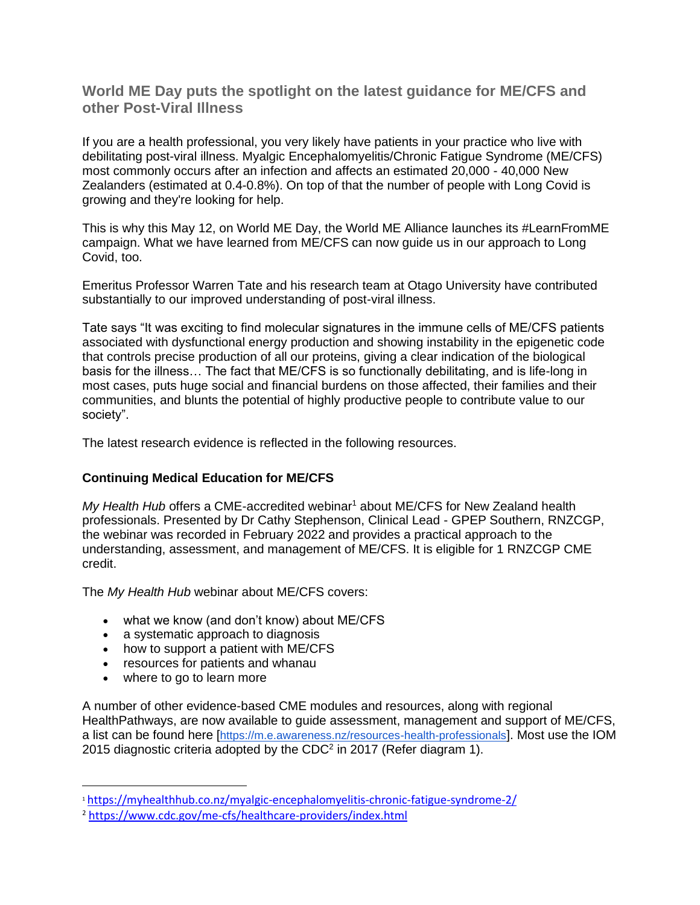**World ME Day puts the spotlight on the latest guidance for ME/CFS and other Post-Viral Illness**

If you are a health professional, you very likely have patients in your practice who live with debilitating post-viral illness. Myalgic Encephalomyelitis/Chronic Fatigue Syndrome (ME/CFS) most commonly occurs after an infection and affects an estimated 20,000 - 40,000 New Zealanders (estimated at 0.4-0.8%). On top of that the number of people with Long Covid is growing and they're looking for help.

This is why this May 12, on World ME Day, the World ME Alliance launches its #LearnFromME campaign. What we have learned from ME/CFS can now guide us in our approach to Long Covid, too.

Emeritus Professor Warren Tate and his research team at Otago University have contributed substantially to our improved understanding of post-viral illness.

Tate says "It was exciting to find molecular signatures in the immune cells of ME/CFS patients associated with dysfunctional energy production and showing instability in the epigenetic code that controls precise production of all our proteins, giving a clear indication of the biological basis for the illness… The fact that ME/CFS is so functionally debilitating, and is life-long in most cases, puts huge social and financial burdens on those affected, their families and their communities, and blunts the potential of highly productive people to contribute value to our society".

The latest research evidence is reflected in the following resources.

### **Continuing Medical Education for ME/CFS**

*My Health Hub* offers a CME-accredited webinar<sup>1</sup> about ME/CFS for New Zealand health professionals. Presented by Dr Cathy Stephenson, Clinical Lead - GPEP Southern, RNZCGP, the webinar was recorded in February 2022 and provides a practical approach to the understanding, assessment, and management of ME/CFS. It is eligible for 1 RNZCGP CME credit.

The *My Health Hub* webinar about ME/CFS covers:

- what we know (and don't know) about ME/CFS
- a systematic approach to diagnosis
- how to support a patient with ME/CFS
- resources for patients and whanau
- where to go to learn more

A number of other evidence-based CME modules and resources, along with regional HealthPathways, are now available to guide assessment, management and support of ME/CFS, a list can be found here [<https://m.e.awareness.nz/resources-health-professionals>]. Most use the IOM 2015 diagnostic criteria adopted by the CDC<sup>2</sup> in 2017 (Refer diagram 1).

<sup>1</sup> <https://myhealthhub.co.nz/myalgic-encephalomyelitis-chronic-fatigue-syndrome-2/>

<sup>2</sup> <https://www.cdc.gov/me-cfs/healthcare-providers/index.html>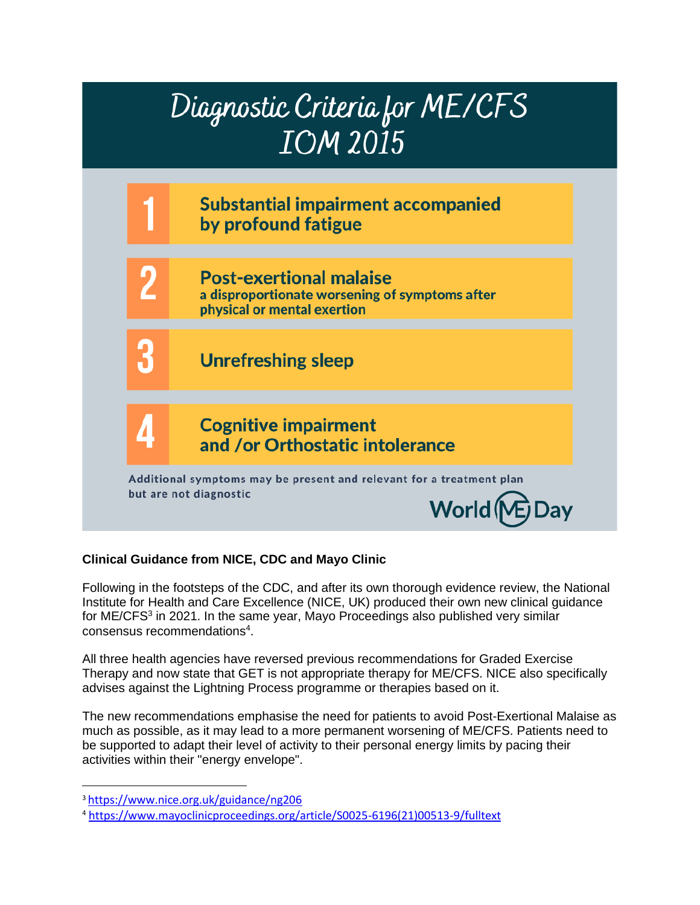

# **Clinical Guidance from NICE, CDC and Mayo Clinic**

Following in the footsteps of the CDC, and after its own thorough evidence review, the National Institute for Health and Care Excellence (NICE, UK) produced their own new clinical guidance for ME/CFS<sup>3</sup> in 2021. In the same year, Mayo Proceedings also published very similar consensus recommendations<sup>4</sup>.

All three health agencies have reversed previous recommendations for Graded Exercise Therapy and now state that GET is not appropriate therapy for ME/CFS. NICE also specifically advises against the Lightning Process programme or therapies based on it.

The new recommendations emphasise the need for patients to avoid Post-Exertional Malaise as much as possible, as it may lead to a more permanent worsening of ME/CFS. Patients need to be supported to adapt their level of activity to their personal energy limits by pacing their activities within their "energy envelope".

<sup>3</sup> <https://www.nice.org.uk/guidance/ng206>

<sup>4</sup> [https://www.mayoclinicproceedings.org/article/S0025-6196\(21\)00513-9/fulltext](https://www.mayoclinicproceedings.org/article/S0025-6196(21)00513-9/fulltext)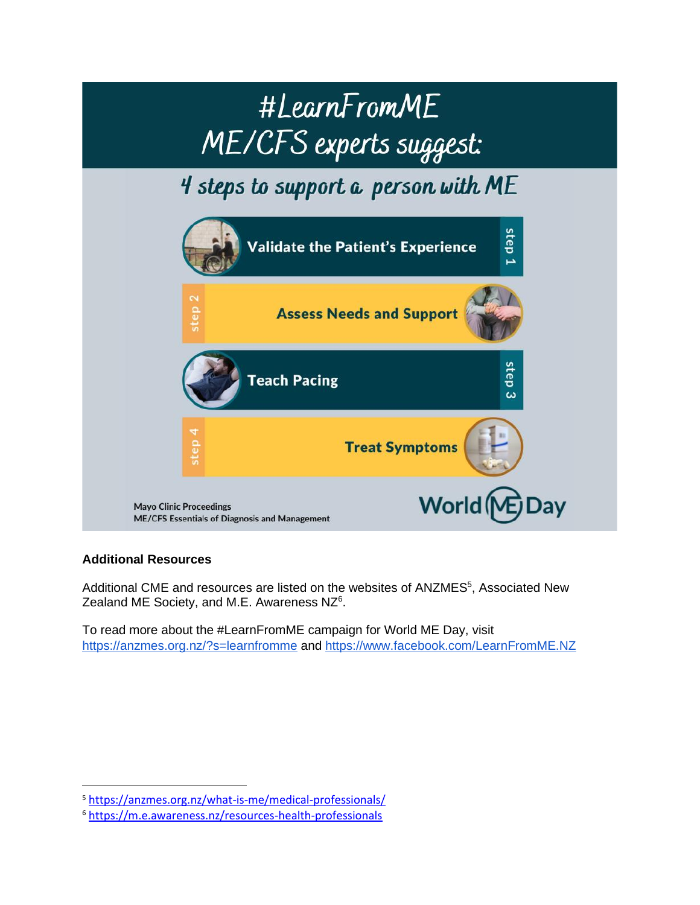

# **Additional Resources**

Additional CME and resources are listed on the websites of ANZMES<sup>5</sup>, Associated New Zealand ME Society, and M.E. Awareness NZ<sup>6</sup>.

To read more about the #LearnFromME campaign for World ME Day, visi[t](https://anzmes.org.nz/?s=learnfromme) <https://anzmes.org.nz/?s=learnfromme> and<https://www.facebook.com/LearnFromME.NZ>

<sup>5</sup> <https://anzmes.org.nz/what-is-me/medical-professionals/>

<sup>6</sup> <https://m.e.awareness.nz/resources-health-professionals>